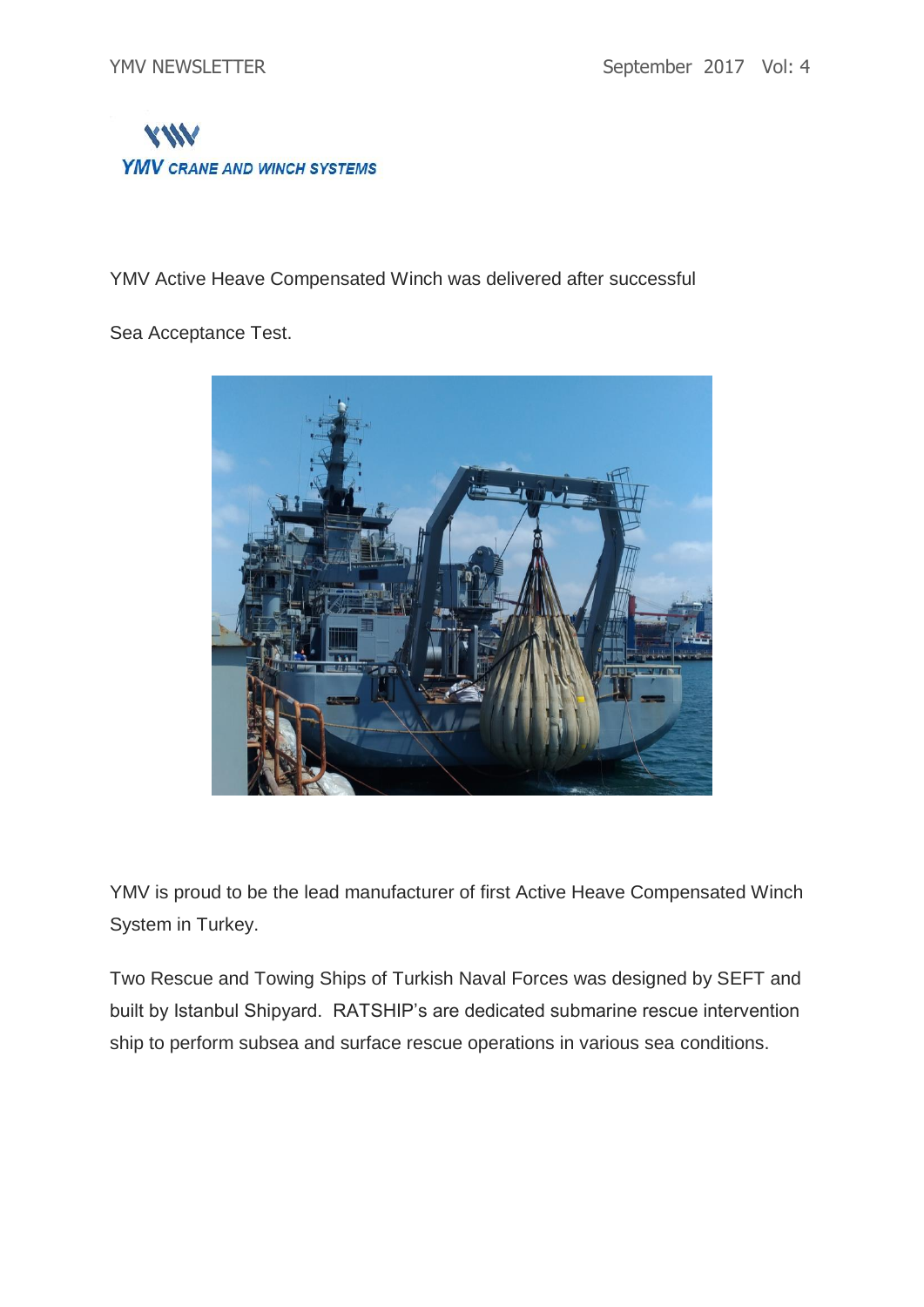

YMV Active Heave Compensated Winch was delivered after successful

Sea Acceptance Test.



YMV is proud to be the lead manufacturer of first Active Heave Compensated Winch System in Turkey.

Two Rescue and Towing Ships of Turkish Naval Forces was designed by SEFT and built by Istanbul Shipyard. RATSHIP's are dedicated submarine rescue intervention ship to perform subsea and surface rescue operations in various sea conditions.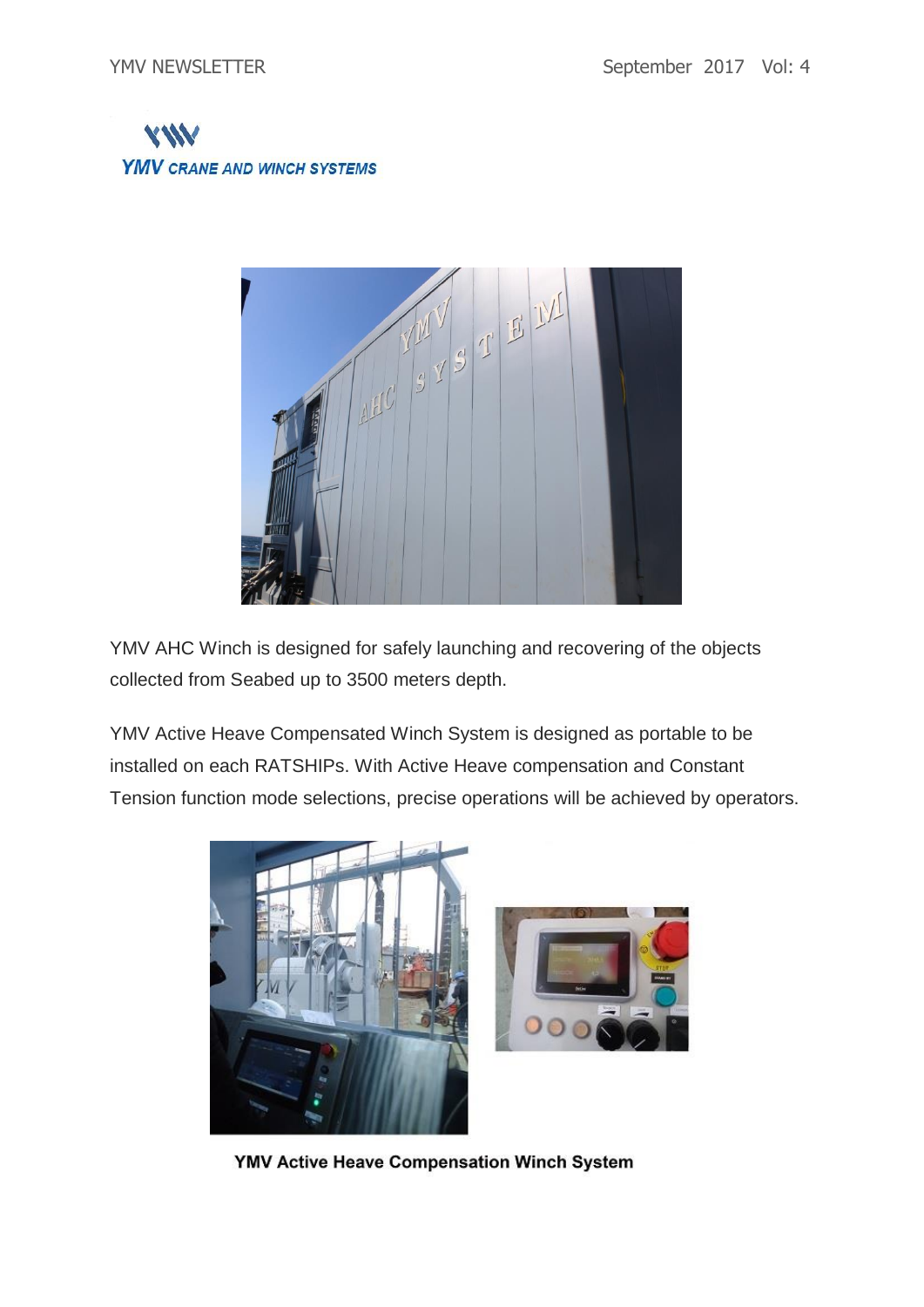



YMV AHC Winch is designed for safely launching and recovering of the objects collected from Seabed up to 3500 meters depth.

YMV Active Heave Compensated Winch System is designed as portable to be installed on each RATSHIPs. With Active Heave compensation and Constant Tension function mode selections, precise operations will be achieved by operators.



YMV Active Heave Compensation Winch System